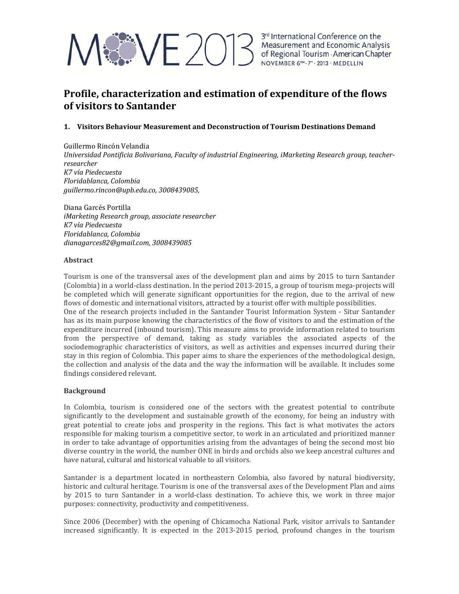

## **Profile, characterization and estimation of expenditure of the flows of visitors to Santander**

#### **1. Visitors Behaviour Measurement and Deconstruction of Tourism Destinations Demand**

Guillermo Rincón Velandia *Universidad Pontificia Bolivariana, Faculty of industrial Engineering, iMarketing Research group, teacher‐ researcher K7 vía Piedecuesta Floridablanca, Colombia guillermo.rincon@upb.edu.co, 3008439085,* 

Diana Garcés Portilla *iMarketing Research group, associate researcher K7 vía Piedecuesta Floridablanca, Colombia dianagarces82@gmail.com, 3008439085* 

#### **Abstract**

Tourism is one of the transversal axes of the development plan and aims by 2015 to turn Santander (Colombia) in a world-class destination. In the period  $2013-2015$ , a group of tourism mega-projects will be completed which will generate significant opportunities for the region, due to the arrival of new flows of domestic and international visitors, attracted by a tourist offer with multiple possibilities. One of the research projects included in the Santander Tourist Information System - Situr Santander has as its main purpose knowing the characteristics of the flow of visitors to and the estimation of the expenditure incurred (inbound tourism). This measure aims to provide information related to tourism from the perspective of demand, taking as study variables the associated aspects of the sociodemographic characteristics of visitors, as well as activities and expenses incurred during their stay in this region of Colombia. This paper aims to share the experiences of the methodological design, the collection and analysis of the data and the way the information will be available. It includes some findings considered relevant.

#### **Background**

In Colombia, tourism is considered one of the sectors with the greatest potential to contribute significantly to the development and sustainable growth of the economy, for being an industry with great potential to create jobs and prosperity in the regions. This fact is what motivates the actors responsible for making tourism a competitive sector, to work in an articulated and prioritized manner in order to take advantage of opportunities arising from the advantages of being the second most bio diverse country in the world, the number ONE in birds and orchids also we keep ancestral cultures and have natural, cultural and historical valuable to all visitors.

Santander is a department located in northeastern Colombia, also favored by natural biodiversity, historic and cultural heritage. Tourism is one of the transversal axes of the Development Plan and aims by 2015 to turn Santander in a world-class destination. To achieve this, we work in three major purposes: connectivity, productivity and competitiveness.

Since 2006 (December) with the opening of Chicamocha National Park, visitor arrivals to Santander increased significantly. It is expected in the 2013-2015 period, profound changes in the tourism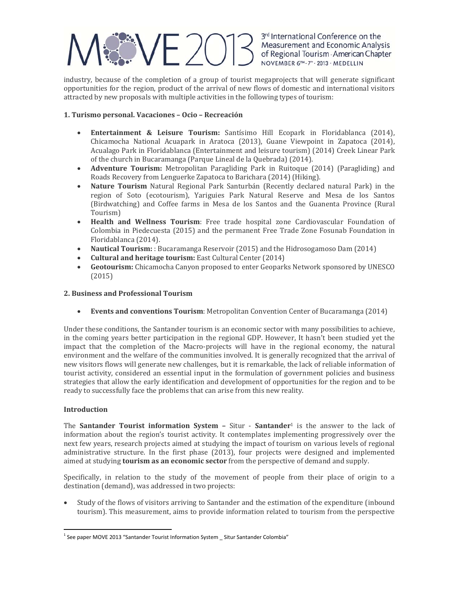## $\langle \mathbf{V} \mathsf{E} \rangle$

3rd International Conference on the Measurement and Economic Analysis of Regional Tourism - American Chapter NOVEMBER 6TH-7" . 2013 · MEDELLIN

industry, because of the completion of a group of tourist megaprojects that will generate significant opportunities for the region, product of the arrival of new flows of domestic and international visitors attracted by new proposals with multiple activities in the following types of tourism:

#### **1. Turismo personal. Vacaciones – Ocio – Recreación**

- **Entertainment & Leisure Tourism:** Santísimo Hill Ecopark in Floridablanca (2014), Chicamocha National Acuapark in Aratoca (2013), Guane Viewpoint in Zapatoca (2014), Acualago Park in Floridablanca (Entertainment and leisure tourism) (2014) Creek Linear Park of the church in Bucaramanga (Parque Lineal de la Quebrada) (2014).
- Adventure Tourism: Metropolitan Paragliding Park in Ruitoque (2014) (Paragliding) and Roads Recovery from Lenguerke Zapatoca to Barichara (2014) (Hiking).
- **Nature Tourism** Natural Regional Park Santurbán (Recently declared natural Park) in the region of Soto (ecotourism), Yariguies Park Natural Reserve and Mesa de los Santos (Birdwatching) and Coffee farms in Mesa de los Santos and the Guanenta Province (Rural Tourism)
- Health and Wellness Tourism: Free trade hospital zone Cardiovascular Foundation of Colombia in Piedecuesta (2015) and the permanent Free Trade Zone Fosunab Foundation in Floridablanca (2014).
- **Nautical Tourism:** : Bucaramanga Reservoir (2015) and the Hidrosogamoso Dam (2014)
- **Cultural and heritage tourism:** East Cultural Center (2014)
- **Geotourism:** Chicamocha Canyon proposed to enter Geoparks Network sponsored by UNESCO (2015)

#### **2. Business and Professional Tourism**

**Events and conventions Tourism:** Metropolitan Convention Center of Bucaramanga (2014)

Under these conditions, the Santander tourism is an economic sector with many possibilities to achieve, in the coming years better participation in the regional GDP. However, It hasn't been studied yet the impact that the completion of the Macro-projects will have in the regional economy, the natural environment and the welfare of the communities involved. It is generally recognized that the arrival of new visitors flows will generate new challenges, but it is remarkable, the lack of reliable information of tourist activity, considered an essential input in the formulation of government policies and business strategies that allow the early identification and development of opportunities for the region and to be ready to successfully face the problems that can arise from this new reality.

#### **Introduction**

**The Santander Tourist information System – Situr - Santander<sup>1</sup> is the answer to the lack of** information about the region's tourist activity. It contemplates implementing progressively over the next few years, research projects aimed at studying the impact of tourism on various levels of regional administrative structure. In the first phase (2013), four projects were designed and implemented aimed at studying **tourism as an economic sector** from the perspective of demand and supply.

Specifically, in relation to the study of the movement of people from their place of origin to a destination (demand), was addressed in two projects:

• Study of the flows of visitors arriving to Santander and the estimation of the expenditure (inbound tourism). This measurement, aims to provide information related to tourism from the perspective

  $^1$  See paper MOVE 2013 "Santander Tourist Information System  $\_$  Situr Santander Colombia"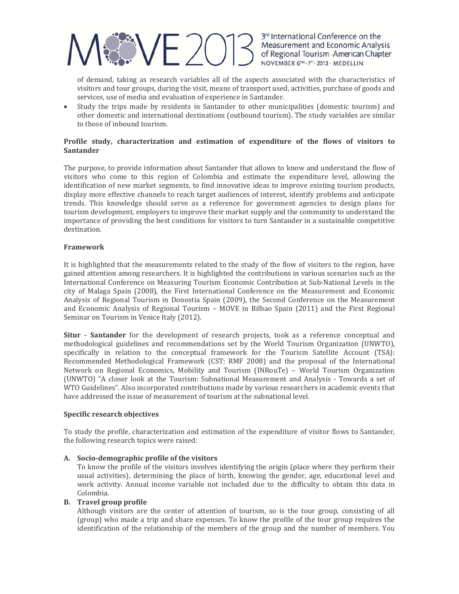

of demand, taking as research variables all of the aspects associated with the characteristics of visitors and tour groups, during the visit, means of transport used, activities, purchase of goods and services, use of media and evaluation of experience in Santander.

• Study the trips made by residents in Santander to other municipalities (domestic tourism) and other domestic and international destinations (outbound tourism). The study variables are similar to those of inbound tourism.

#### **Profile study, characterization and estimation of expenditure of the flows of visitors to Santander**

The purpose, to provide information about Santander that allows to know and understand the flow of visitors who come to this region of Colombia and estimate the expenditure level, allowing the identification of new market segments, to find innovative ideas to improve existing tourism products, display more effective channels to reach target audiences of interest, identify problems and anticipate trends. This knowledge should serve as a reference for government agencies to design plans for tourism development, employers to improve their market supply and the community to understand the importance of providing the best conditions for visitors to turn Santander in a sustainable competitive destination. 

#### **Framework**

It is highlighted that the measurements related to the study of the flow of visitors to the region, have gained attention among researchers. It is highlighted the contributions in various scenarios such as the International Conference on Measuring Tourism Economic Contribution at Sub-National Levels in the city of Malaga Spain (2008), the First International Conference on the Measurement and Economic Analysis of Regional Tourism in Donostia Spain (2009), the Second Conference on the Measurement and Economic Analysis of Regional Tourism - MOVE in Bilbao Spain (2011) and the First Regional Seminar on Tourism in Venice Italy (2012).

**Situr** – **Santander** for the development of research projects, took as a reference conceptual and methodological guidelines and recommendations set by the World Tourism Organization (UNWTO), specifically in relation to the conceptual framework for the Tourism Satellite Account (TSA): Recommended Methodological Framework (CST: RMF 2008) and the proposal of the International Network on Regional Economics, Mobility and Tourism (INRouTe) – World Tourism Organization (UNWTO) "A closer look at the Tourism: Subnational Measurement and Analysis - Towards a set of WTO Guidelines". Also incorporated contributions made by various researchers in academic events that have addressed the issue of measurement of tourism at the subnational level.

#### **Specific research objectives**

To study the profile, characterization and estimation of the expenditure of visitor flows to Santander, the following research topics were raised:

#### **A. Socio‐demographic profile of the visitors**

To know the profile of the visitors involves identifying the origin (place where they perform their usual activities), determining the place of birth, knowing the gender, age, educational level and work activity. Annual income variable not included due to the difficulty to obtain this data in Colombia. 

#### **B. Travel group profile**

Although visitors are the center of attention of tourism, so is the tour group, consisting of all (group) who made a trip and share expenses. To know the profile of the tour group requires the identification of the relationship of the members of the group and the number of members. You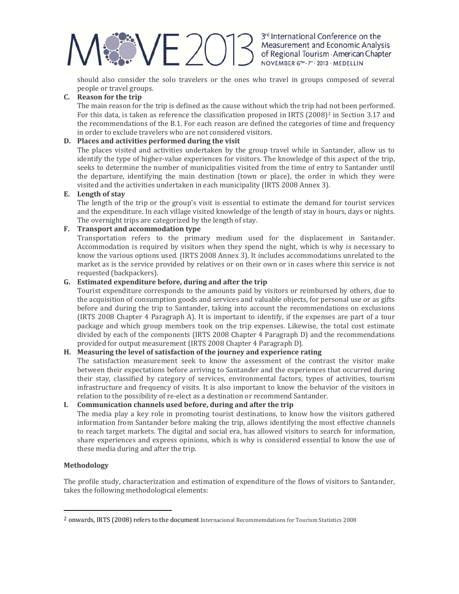

should also consider the solo travelers or the ones who travel in groups composed of several people or travel groups.

#### **C. Reason for the trip**

The main reason for the trip is defined as the cause without which the trip had not been performed. For this data, is taken as reference the classification proposed in IRTS  $(2008)^2$  in Section 3.17 and the recommendations of the B.1. For each reason are defined the categories of time and frequency in order to exclude travelers who are not considered visitors.

#### **D. Places and activities performed during the visit**

The places visited and activities undertaken by the group travel while in Santander, allow us to identify the type of higher-value experiences for visitors. The knowledge of this aspect of the trip, seeks to determine the number of municipalities visited from the time of entry to Santander until the departure, identifying the main destination (town or place), the order in which they were visited and the activities undertaken in each municipality (IRTS 2008 Annex 3).

#### **E. Length of stay**

The length of the trip or the group's visit is essential to estimate the demand for tourist services and the expenditure. In each village visited knowledge of the length of stay in hours, days or nights. The overnight trips are categorized by the length of stay.

#### **F. Transport and accommodation type**

Transportation refers to the primary medium used for the displacement in Santander. Accommodation is required by visitors when they spend the night, which is why is necessary to know the various options used. (IRTS 2008 Annex 3). It includes accommodations unrelated to the market as is the service provided by relatives or on their own or in cases where this service is not requested (backpackers).

#### **G. Estimated expenditure before, during and after the trip**

Tourist expenditure corresponds to the amounts paid by visitors or reimbursed by others, due to the acquisition of consumption goods and services and valuable objects, for personal use or as gifts before and during the trip to Santander, taking into account the recommendations on exclusions (IRTS 2008 Chapter 4 Paragraph A). It is important to identify, if the expenses are part of a tour package and which group members took on the trip expenses. Likewise, the total cost estimate divided by each of the components (IRTS 2008 Chapter 4 Paragraph D) and the recommendations provided for output measurement (IRTS 2008 Chapter 4 Paragraph D).

#### **H. Measuring the level of satisfaction of the journey and experience rating**

The satisfaction measurement seek to know the assessment of the contrast the visitor make between their expectations before arriving to Santander and the experiences that occurred during their stay, classified by category of services, environmental factors, types of activities, tourism infrastructure and frequency of visits. It is also important to know the behavior of the visitors in relation to the possibility of re-elect as a destination or recommend Santander.

#### **I. Communication channels used before, during and after the trip**

The media play a key role in promoting tourist destinations, to know how the visitors gathered information from Santander before making the trip, allows identifying the most effective channels to reach target markets. The digital and social era, has allowed visitors to search for information, share experiences and express opinions, which is why is considered essential to know the use of these media during and after the trip.

#### **Methodology**

The profile study, characterization and estimation of expenditure of the flows of visitors to Santander, takes the following methodological elements:

<sup>&</sup>lt;sup>2</sup> onwards, IRTS (2008) refers to the document Internacional Recommemdations for Tourism Statistics 2008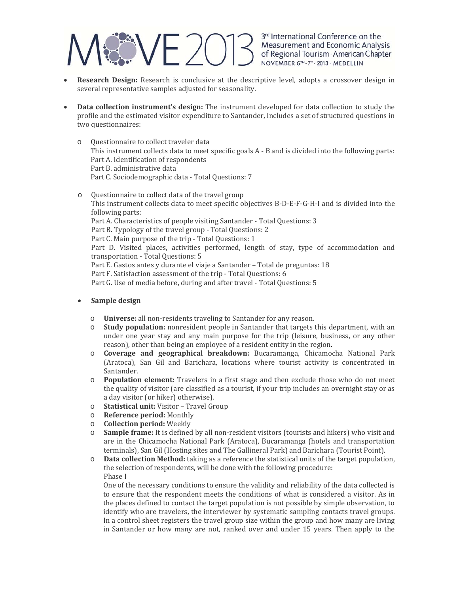

- **Research Design:** Research is conclusive at the descriptive level, adopts a crossover design in several representative samples adjusted for seasonality.
- Data collection instrument's design: The instrument developed for data collection to study the profile and the estimated visitor expenditure to Santander, includes a set of structured questions in two questionnaires:
	- o Ouestionnaire to collect traveler data This instrument collects data to meet specific goals  $A - B$  and is divided into the following parts: Part A. Identification of respondents Part B. administrative data Part C. Sociodemographic data - Total Questions: 7
	- o Questionnaire to collect data of the travel group This instrument collects data to meet specific objectives B-D-E-F-G-H-I and is divided into the following parts: Part A. Characteristics of people visiting Santander - Total Questions: 3 Part B. Typology of the travel group - Total Questions: 2 Part C. Main purpose of the trip - Total Questions: 1 Part D. Visited places, activities performed, length of stay, type of accommodation and transportation - Total Questions: 5 Part E. Gastos antes y durante el viaje a Santander – Total de preguntas: 18 Part F. Satisfaction assessment of the trip - Total Questions: 6 Part G. Use of media before, during and after travel - Total Questions: 5
	- **Sample design**
		- o **Universe:** all non-residents traveling to Santander for any reason.
		- o **Study population:** nonresident people in Santander that targets this department, with an under one year stay and any main purpose for the trip (leisure, business, or any other reason), other than being an employee of a resident entity in the region.
		- o **Coverage and geographical breakdown:** Bucaramanga, Chicamocha National Park (Aratoca), San Gil and Barichara, locations where tourist activity is concentrated in Santander.
		- $\circ$  **Population element:** Travelers in a first stage and then exclude those who do not meet the quality of visitor (are classified as a tourist, if your trip includes an overnight stay or as a day visitor (or hiker) otherwise).
		- o **Statistical unit:** Visitor – Travel Group
		- o **Reference period:** Monthly
		- o **Collection period:** Weekly
		- **Sample frame:** It is defined by all non-resident visitors (tourists and hikers) who visit and are in the Chicamocha National Park (Aratoca), Bucaramanga (hotels and transportation terminals), San Gil (Hosting sites and The Gallineral Park) and Barichara (Tourist Point).
		- o **Data collection Method:** taking as a reference the statistical units of the target population, the selection of respondents, will be done with the following procedure: Phase I

One of the necessary conditions to ensure the validity and reliability of the data collected is to ensure that the respondent meets the conditions of what is considered a visitor. As in the places defined to contact the target population is not possible by simple observation, to identify who are travelers, the interviewer by systematic sampling contacts travel groups. In a control sheet registers the travel group size within the group and how many are living in Santander or how many are not, ranked over and under 15 years. Then apply to the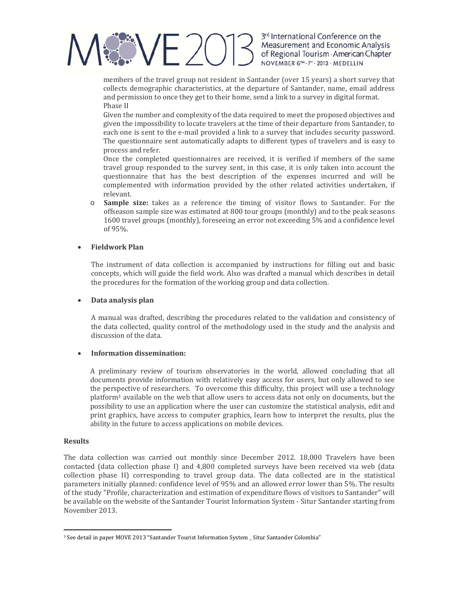

members of the travel group not resident in Santander (over 15 years) a short survey that collects demographic characteristics, at the departure of Santander, name, email address and permission to once they get to their home, send a link to a survey in digital format. Phase II

Given the number and complexity of the data required to meet the proposed objectives and given the impossibility to locate travelers at the time of their departure from Santander, to each one is sent to the e-mail provided a link to a survey that includes security password. The questionnaire sent automatically adapts to different types of travelers and is easy to process and refer.

Once the completed questionnaires are received, it is verified if members of the same travel group responded to the survey sent, in this case, it is only taken into account the questionnaire that has the best description of the expenses incurred and will be complemented with information provided by the other related activities undertaken, if relevant. 

 $\circ$  **Sample size:** takes as a reference the timing of visitor flows to Santander. For the offseason sample size was estimated at 800 tour groups (monthly) and to the peak seasons 1600 travel groups (monthly), foreseeing an error not exceeding 5% and a confidence level of 95%.

#### **Fieldwork Plan**

The instrument of data collection is accompanied by instructions for filling out and basic concepts, which will guide the field work. Also was drafted a manual which describes in detail the procedures for the formation of the working group and data collection.

#### **Data analysis plan**

A manual was drafted, describing the procedures related to the validation and consistency of the data collected, quality control of the methodology used in the study and the analysis and discussion of the data.

#### **Information dissemination:**

A preliminary review of tourism observatories in the world, allowed concluding that all documents provide information with relatively easy access for users, but only allowed to see the perspective of researchers. To overcome this difficulty, this project will use a technology platform<sup>3</sup> available on the web that allow users to access data not only on documents, but the possibility to use an application where the user can customize the statistical analysis, edit and print graphics, have access to computer graphics, learn how to interpret the results, plus the ability in the future to access applications on mobile devices.

#### **Results**

The data collection was carried out monthly since December 2012. 18,000 Travelers have been contacted (data collection phase I) and 4,800 completed surveys have been received via web (data collection phase II) corresponding to travel group data. The data collected are in the statistical parameters initially planned: confidence level of 95% and an allowed error lower than 5%. The results of the study "Profile, characterization and estimation of expenditure flows of visitors to Santander" will be available on the website of the Santander Tourist Information System - Situr Santander starting from November 2013. 

<sup>&</sup>lt;sup>3</sup> See detail in paper MOVE 2013 "Santander Tourist Information System \_ Situr Santander Colombia"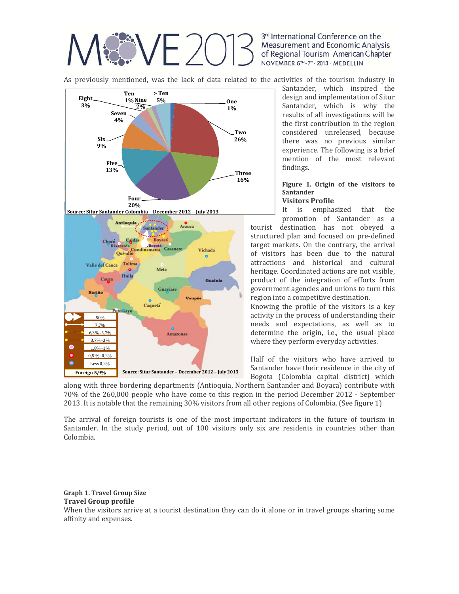

As previously mentioned, was the lack of data related to the activities of the tourism industry in



Santander, which inspired the design and implementation of Situr Santander, which is why the results of all investigations will be the first contribution in the region considered unreleased, because there was no previous similar experience. The following is a brief mention of the most relevant findings. 

#### **Figure 1. Origin of the visitors to Santander**

**Visitors Profile**

It is emphasized that the promotion of Santander as a tourist destination has not obeyed a structured plan and focused on pre-defined target markets. On the contrary, the arrival of visitors has been due to the natural attractions and historical and cultural heritage. Coordinated actions are not visible, product of the integration of efforts from government agencies and unions to turn this region into a competitive destination.

Knowing the profile of the visitors is a key activity in the process of understanding their needs and expectations, as well as to determine the origin, i.e., the usual place where they perform everyday activities.

Half of the visitors who have arrived to Santander have their residence in the city of Bogota (Colombia capital district) which

along with three bordering departments (Antioquia, Northern Santander and Boyaca) contribute with 70% of the 260,000 people who have come to this region in the period December 2012 - September 2013. It is notable that the remaining 30% visitors from all other regions of Colombia. (See figure 1)

The arrival of foreign tourists is one of the most important indicators in the future of tourism in Santander. In the study period, out of 100 visitors only six are residents in countries other than Colombia. 

### **Graph 1. Travel Group Size**

#### **Travel Group profile**

When the visitors arrive at a tourist destination they can do it alone or in travel groups sharing some affinity and expenses.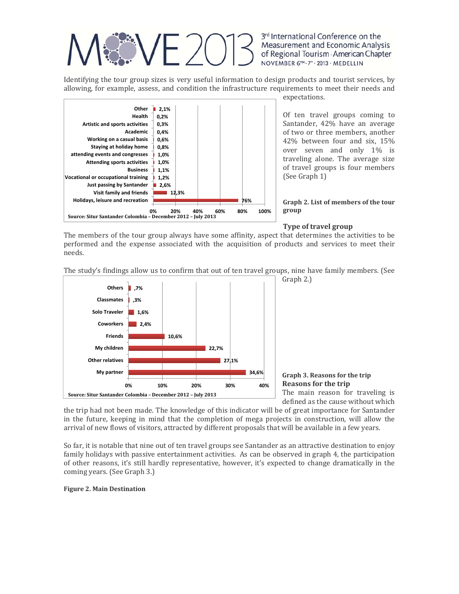

Identifying the tour group sizes is very useful information to design products and tourist services, by allowing, for example, assess, and condition the infrastructure requirements to meet their needs and expectations. 



Of ten travel groups coming to Santander, 42% have an average of two or three members, another 42% between four and six, 15% over seven and only  $1\%$  is traveling alone. The average size of travel groups is four members

**Graph 2. List of members of the tour group**

#### **Type of travel group**

(See Graph 1)

Graph 2.)

The members of the tour group always have some affinity, aspect that determines the activities to be performed and the expense associated with the acquisition of products and services to meet their needs. 

The study's findings allow us to confirm that out of ten travel groups, nine have family members. (See





defined as the cause without which

the trip had not been made. The knowledge of this indicator will be of great importance for Santander in the future, keeping in mind that the completion of mega projects in construction, will allow the arrival of new flows of visitors, attracted by different proposals that will be available in a few years.

So far, it is notable that nine out of ten travel groups see Santander as an attractive destination to enjoy family holidays with passive entertainment activities. As can be observed in graph 4, the participation of other reasons, it's still hardly representative, however, it's expected to change dramatically in the coming years. (See Graph 3.)

#### **Figure 2. Main Destination**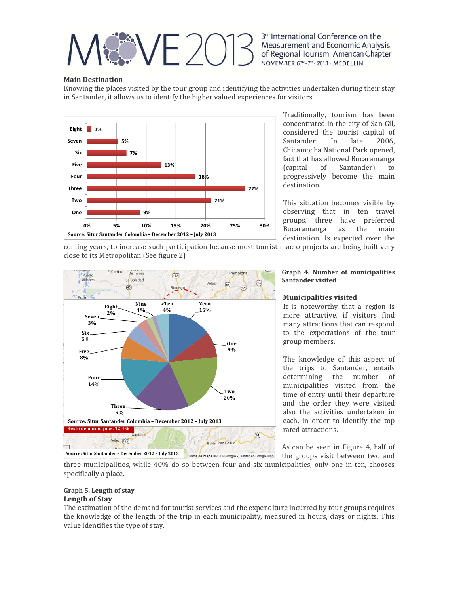

#### **Main Destination**

Knowing the places visited by the tour group and identifying the activities undertaken during their stay in Santander, it allows us to identify the higher valued experiences for visitors.



Traditionally, tourism has been concentrated in the city of San Gil, considered the tourist capital of Santander. In late 2006, Chicamocha National Park opened, fact that has allowed Bucaramanga (capital of Santander) to progressively become the main destination. 

This situation becomes visible by observing that in ten travel groups, three have preferred Bucaramanga as the main destination. Is expected over the

coming years, to increase such participation because most tourist macro projects are being built very close to its Metropolitan (See figure 2)



#### **Graph 4. Number of municipalities Santander visited**

#### **Municipalities visited**

It is noteworthy that a region is more attractive, if visitors find many attractions that can respond to the expectations of the tour group members.

The knowledge of this aspect of the trips to Santander, entails determining the number of municipalities visited from the time of entry until their departure and the order they were visited also the activities undertaken in each, in order to identify the top rated attractions.

As can be seen in Figure 4, half of the groups visit between two and

three municipalities, while  $40\%$  do so between four and six municipalities, only one in ten, chooses specifically a place.

#### **Graph 5. Length of stay Length of Stay**

The estimation of the demand for tourist services and the expenditure incurred by tour groups requires the knowledge of the length of the trip in each municipality, measured in hours, days or nights. This value identifies the type of stay.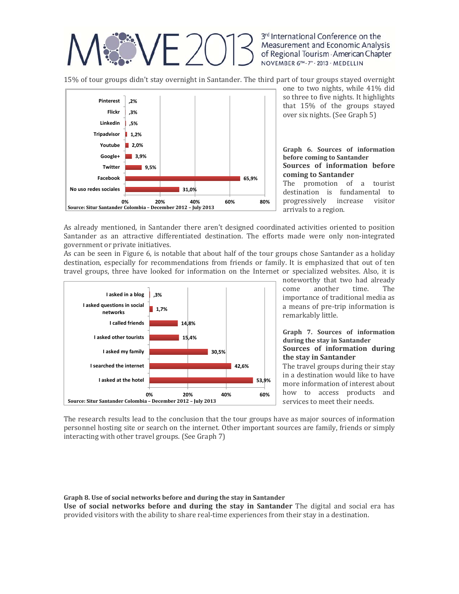

15% of tour groups didn't stay overnight in Santander. The third part of tour groups stayed overnight



one to two nights, while 41% did so three to five nights. It highlights that  $15\%$  of the groups stayed over six nights. (See Graph 5)

#### **Graph 6. Sources of information before coming to Santander Sources of information before coming to Santander**

The promotion of a tourist destination is fundamental to progressively increase visitor arrivals to a region.

As already mentioned, in Santander there aren't designed coordinated activities oriented to position Santander as an attractive differentiated destination. The efforts made were only non-integrated government or private initiatives.

As can be seen in Figure 6, is notable that about half of the tour groups chose Santander as a holiday destination, especially for recommendations from friends or family. It is emphasized that out of ten travel groups, three have looked for information on the Internet or specialized websites. Also, it is



noteworthy that two had already come another time. The importance of traditional media as a means of pre-trip information is remarkably little.

#### **Graph 7. Sources of information during the stay in Santander Sources of information during the stay in Santander**

The travel groups during their stay in a destination would like to have more information of interest about how to access products and services to meet their needs.

The research results lead to the conclusion that the tour groups have as major sources of information personnel hosting site or search on the internet. Other important sources are family, friends or simply interacting with other travel groups. (See Graph 7)

**Graph 8. Use of social networks before and during the stay in Santander**

**Use of social networks before and during the stay in Santander** The digital and social era has provided visitors with the ability to share real-time experiences from their stay in a destination.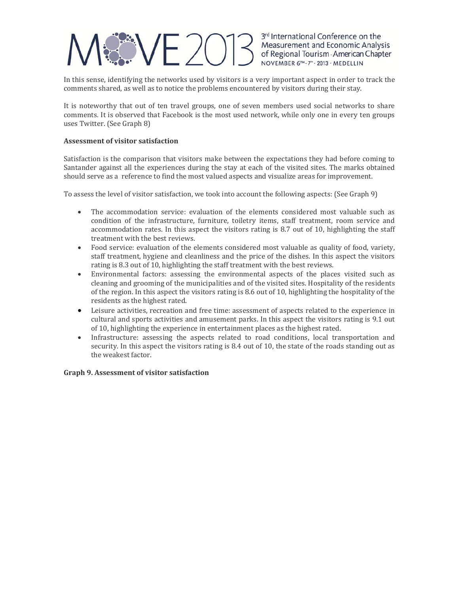## $\langle \sqrt{E}/E \rangle$

3rd International Conference on the Measurement and Economic Analysis of Regional Tourism - American Chapter NOVEMBER 6TH-7" . 2013 . MEDELLIN

In this sense, identifying the networks used by visitors is a very important aspect in order to track the comments shared, as well as to notice the problems encountered by visitors during their stay.

It is noteworthy that out of ten travel groups, one of seven members used social networks to share comments. It is observed that Facebook is the most used network, while only one in every ten groups uses Twitter. (See Graph 8)

#### **Assessment of visitor satisfaction**

Satisfaction is the comparison that visitors make between the expectations they had before coming to Santander against all the experiences during the stay at each of the visited sites. The marks obtained should serve as a reference to find the most valued aspects and visualize areas for improvement.

To assess the level of visitor satisfaction, we took into account the following aspects: (See Graph 9)

- The accommodation service: evaluation of the elements considered most valuable such as condition of the infrastructure, furniture, toiletry items, staff treatment, room service and accommodation rates. In this aspect the visitors rating is 8.7 out of 10, highlighting the staff treatment with the best reviews.
- Food service: evaluation of the elements considered most valuable as quality of food, variety, staff treatment, hygiene and cleanliness and the price of the dishes. In this aspect the visitors rating is 8.3 out of 10, highlighting the staff treatment with the best reviews.
- Environmental factors: assessing the environmental aspects of the places visited such as cleaning and grooming of the municipalities and of the visited sites. Hospitality of the residents of the region. In this aspect the visitors rating is 8.6 out of 10, highlighting the hospitality of the residents as the highest rated.
- Leisure activities, recreation and free time: assessment of aspects related to the experience in cultural and sports activities and amusement parks. In this aspect the visitors rating is 9.1 out of 10, highlighting the experience in entertainment places as the highest rated.
- Infrastructure: assessing the aspects related to road conditions, local transportation and security. In this aspect the visitors rating is 8.4 out of 10, the state of the roads standing out as the weakest factor.

#### **Graph 9. Assessment of visitor satisfaction**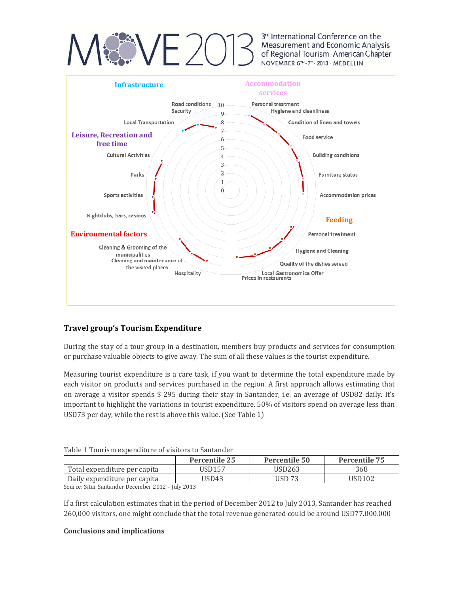# $300-7$

3rd International Conference on the Measurement and Economic Analysis of Regional Tourism - American Chapter NOVEMBER 6TH-7" . 2013 · MEDELLIN



### **Travel group's Tourism Expenditure**

During the stay of a tour group in a destination, members buy products and services for consumption or purchase valuable objects to give away. The sum of all these values is the tourist expenditure.

Measuring tourist expenditure is a care task, if you want to determine the total expenditure made by each visitor on products and services purchased in the region. A first approach allows estimating that on average a visitor spends \$ 295 during their stay in Santander, i.e. an average of USD82 daily. It's important to highlight the variations in tourist expenditure. 50% of visitors spend on average less than USD73 per day, while the rest is above this value. (See Table 1)

| Table 1 Tourism expenditure of visitors to santanger |               |               |                      |
|------------------------------------------------------|---------------|---------------|----------------------|
|                                                      | Percentile 25 | Percentile 50 | <b>Percentile 75</b> |
| Total expenditure per capita                         | USD157        | USD263        | 368                  |
| Daily expenditure per capita                         | USD43         | USD 73        | USD <sub>102</sub>   |
| .                                                    |               |               |                      |

Source: Situr Santander December 2012 - July 2013

If a first calculation estimates that in the period of December 2012 to July 2013, Santander has reached 260,000 visitors, one might conclude that the total revenue generated could be around USD77.000.000

#### **Conclusions and implications**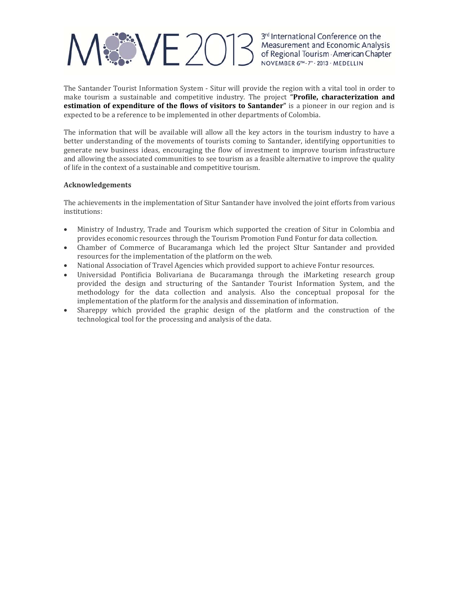

The Santander Tourist Information System - Situr will provide the region with a vital tool in order to make tourism a sustainable and competitive industry. The project "**Profile, characterization and estimation** of **expenditure** of the flows of visitors to Santander" is a pioneer in our region and is expected to be a reference to be implemented in other departments of Colombia.

The information that will be available will allow all the key actors in the tourism industry to have a better understanding of the movements of tourists coming to Santander, identifying opportunities to generate new business ideas, encouraging the flow of investment to improve tourism infrastructure and allowing the associated communities to see tourism as a feasible alternative to improve the quality of life in the context of a sustainable and competitive tourism.

#### **Acknowledgements**

The achievements in the implementation of Situr Santander have involved the joint efforts from various institutions: 

- Ministry of Industry, Trade and Tourism which supported the creation of Situr in Colombia and provides economic resources through the Tourism Promotion Fund Fontur for data collection.
- Chamber of Commerce of Bucaramanga which led the project SItur Santander and provided resources for the implementation of the platform on the web.
- National Association of Travel Agencies which provided support to achieve Fontur resources.
- Universidad Pontificia Bolivariana de Bucaramanga through the iMarketing research group provided the design and structuring of the Santander Tourist Information System, and the methodology for the data collection and analysis. Also the conceptual proposal for the implementation of the platform for the analysis and dissemination of information.
- Shareppy which provided the graphic design of the platform and the construction of the technological tool for the processing and analysis of the data.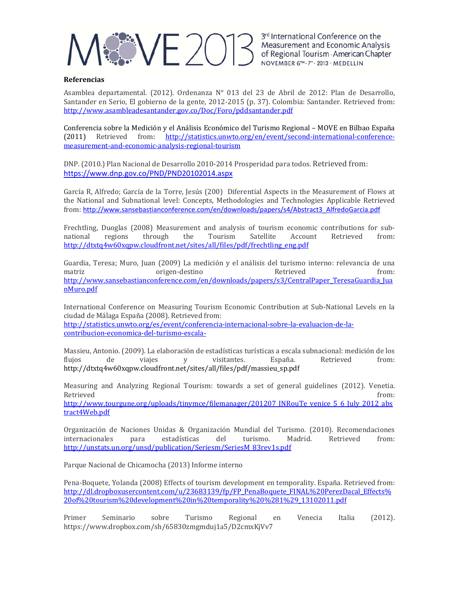

#### **Referencias**

Asamblea departamental. (2012). Ordenanza  $N^{\circ}$  013 del 23 de Abril de 2012: Plan de Desarrollo, Santander en Serio, El gobierno de la gente, 2012-2015 (p. 37). Colombia: Santander. Retrieved from: http://www.asambleadesantander.gov.co/Doc/Foro/pddsantander.pdf

Conferencia sobre la Medición y el Análisis Económico del Turismo Regional - MOVE en Bilbao España (2011) Retrieved from: http://statistics.unwto.org/en/event/second-international-conferencemeasurement‐and‐economic‐analysis‐regional‐tourism

DNP. (2010.) Plan Nacional de Desarrollo 2010-2014 Prosperidad para todos. Retrieved from: https://www.dnp.gov.co/PND/PND20102014.aspx 

García R, Alfredo; García de la Torre, Jesús (200) Diferential Aspects in the Measurement of Flows at the National and Subnational level: Concepts, Methodologies and Technologies Applicable Retrieved from: http://www.sansebastianconference.com/en/downloads/papers/s4/Abstract3\_AlfredoGarcia.pdf

Frechtling, Duoglas (2008) Measurement and analysis of tourism economic contributions for subnational regions through the Tourism Satellite Account Retrieved from: http://dtxtq4w60xqpw.cloudfront.net/sites/all/files/pdf/frechtling\_eng.pdf 

Guardia, Teresa; Muro, Juan (2009) La medición y el análisis del turismo interno: relevancia de una matriz corigen-destino Retrieved from: http://www.sansebastianconference.com/en/downloads/papers/s3/CentralPaper\_TeresaGuardia\_Jua nMuro.pdf

International Conference on Measuring Tourism Economic Contribution at Sub-National Levels en la ciudad de Málaga España (2008). Retrieved from:

http://statistics.unwto.org/es/event/conferencia‐internacional‐sobre‐la‐evaluacion‐de‐la‐ contribucion‐economica‐del‐turismo‐escala‐

Massieu, Antonio. (2009). La elaboración de estadísticas turísticas a escala subnacional: medición de los flujos de viajes y visitantes. España. Retrieved from: http://dtxtq4w60xqpw.cloudfront.net/sites/all/files/pdf/massieu\_sp.pdf 

Measuring and Analyzing Regional Tourism: towards a set of general guidelines (2012). Venetia. Retrieved from: the contract of the contract of the contract of the contract of the contract of the contract of the contract of the contract of the contract of the contract of the contract of the contract of the contract o

http://www.tourgune.org/uploads/tinymce/filemanager/201207\_INRouTe\_venice\_5\_6\_July\_2012\_abs tract4Web.pdf 

Organización de Naciones Unidas & Organización Mundial del Turismo. (2010). Recomendaciones internacionales para estadísticas del turismo. Madrid. Retrieved from: http://unstats.un.org/unsd/publication/Seriesm/SeriesM\_83rev1s.pdf

Parque Nacional de Chicamocha (2013) Informe interno

Pena-Boquete, Yolanda (2008) Effects of tourism development en temporality. España. Retrieved from: http://dl.dropboxusercontent.com/u/23683139/fp/FP\_PenaBoquete\_FINAL%20PerezDacal\_Effects% 20of%20tourism%20development%20in%20temporality%20%281%29\_13102011.pdf

Primer Seminario sobre Turismo Regional en Venecia Italia (2012). https://www.dropbox.com/sh/65830zmgmduj1a5/D2cmxKjVv7